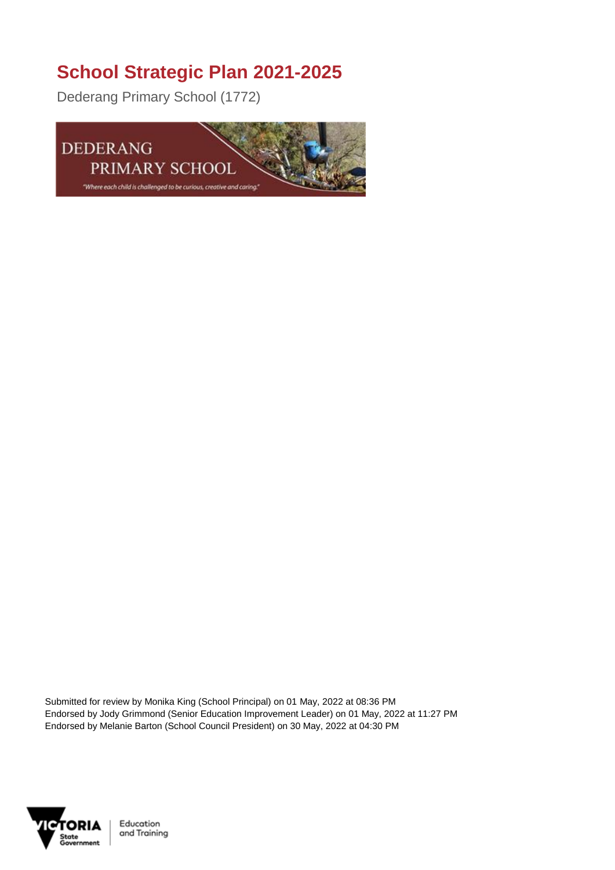## **School Strategic Plan 2021-2025**

Dederang Primary School (1772)



Submitted for review by Monika King (School Principal) on 01 May, 2022 at 08:36 PM Endorsed by Jody Grimmond (Senior Education Improvement Leader) on 01 May, 2022 at 11:27 PM Endorsed by Melanie Barton (School Council President) on 30 May, 2022 at 04:30 PM



Education and Training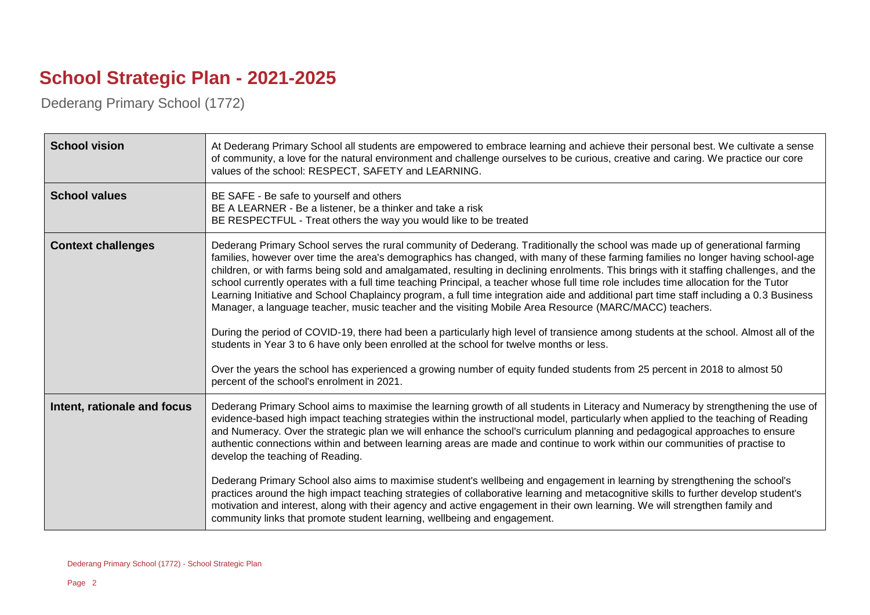## **School Strategic Plan - 2021-2025**

Dederang Primary School (1772)

| <b>School vision</b>        | At Dederang Primary School all students are empowered to embrace learning and achieve their personal best. We cultivate a sense<br>of community, a love for the natural environment and challenge ourselves to be curious, creative and caring. We practice our core<br>values of the school: RESPECT, SAFETY and LEARNING.                                                                                                                                                                                                                                                                                                                                                                                                                                                                                                                                                                                                                                                                                                                                                                                                                                                                                              |
|-----------------------------|--------------------------------------------------------------------------------------------------------------------------------------------------------------------------------------------------------------------------------------------------------------------------------------------------------------------------------------------------------------------------------------------------------------------------------------------------------------------------------------------------------------------------------------------------------------------------------------------------------------------------------------------------------------------------------------------------------------------------------------------------------------------------------------------------------------------------------------------------------------------------------------------------------------------------------------------------------------------------------------------------------------------------------------------------------------------------------------------------------------------------------------------------------------------------------------------------------------------------|
| <b>School values</b>        | BE SAFE - Be safe to yourself and others<br>BE A LEARNER - Be a listener, be a thinker and take a risk<br>BE RESPECTFUL - Treat others the way you would like to be treated                                                                                                                                                                                                                                                                                                                                                                                                                                                                                                                                                                                                                                                                                                                                                                                                                                                                                                                                                                                                                                              |
| <b>Context challenges</b>   | Dederang Primary School serves the rural community of Dederang. Traditionally the school was made up of generational farming<br>families, however over time the area's demographics has changed, with many of these farming families no longer having school-age<br>children, or with farms being sold and amalgamated, resulting in declining enrolments. This brings with it staffing challenges, and the<br>school currently operates with a full time teaching Principal, a teacher whose full time role includes time allocation for the Tutor<br>Learning Initiative and School Chaplaincy program, a full time integration aide and additional part time staff including a 0.3 Business<br>Manager, a language teacher, music teacher and the visiting Mobile Area Resource (MARC/MACC) teachers.<br>During the period of COVID-19, there had been a particularly high level of transience among students at the school. Almost all of the<br>students in Year 3 to 6 have only been enrolled at the school for twelve months or less.<br>Over the years the school has experienced a growing number of equity funded students from 25 percent in 2018 to almost 50<br>percent of the school's enrolment in 2021. |
| Intent, rationale and focus | Dederang Primary School aims to maximise the learning growth of all students in Literacy and Numeracy by strengthening the use of<br>evidence-based high impact teaching strategies within the instructional model, particularly when applied to the teaching of Reading<br>and Numeracy. Over the strategic plan we will enhance the school's curriculum planning and pedagogical approaches to ensure<br>authentic connections within and between learning areas are made and continue to work within our communities of practise to<br>develop the teaching of Reading.<br>Dederang Primary School also aims to maximise student's wellbeing and engagement in learning by strengthening the school's<br>practices around the high impact teaching strategies of collaborative learning and metacognitive skills to further develop student's<br>motivation and interest, along with their agency and active engagement in their own learning. We will strengthen family and<br>community links that promote student learning, wellbeing and engagement.                                                                                                                                                              |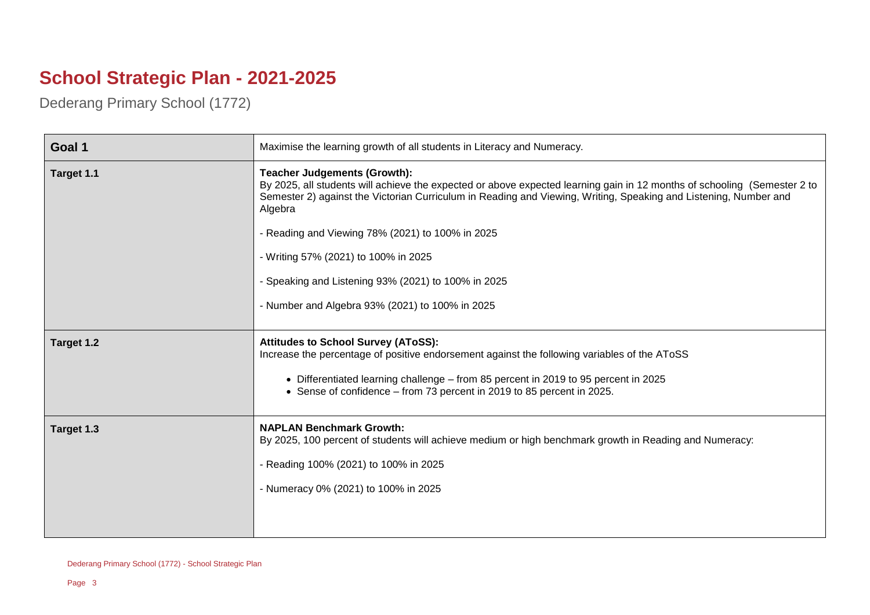## **School Strategic Plan - 2021-2025**

Dederang Primary School (1772)

| Goal 1     | Maximise the learning growth of all students in Literacy and Numeracy.                                                                                                                                                                                                                                      |
|------------|-------------------------------------------------------------------------------------------------------------------------------------------------------------------------------------------------------------------------------------------------------------------------------------------------------------|
| Target 1.1 | <b>Teacher Judgements (Growth):</b><br>By 2025, all students will achieve the expected or above expected learning gain in 12 months of schooling (Semester 2 to<br>Semester 2) against the Victorian Curriculum in Reading and Viewing, Writing, Speaking and Listening, Number and<br>Algebra              |
|            | - Reading and Viewing 78% (2021) to 100% in 2025                                                                                                                                                                                                                                                            |
|            | - Writing 57% (2021) to 100% in 2025                                                                                                                                                                                                                                                                        |
|            | - Speaking and Listening 93% (2021) to 100% in 2025                                                                                                                                                                                                                                                         |
|            | - Number and Algebra 93% (2021) to 100% in 2025                                                                                                                                                                                                                                                             |
| Target 1.2 | <b>Attitudes to School Survey (AToSS):</b><br>Increase the percentage of positive endorsement against the following variables of the AToSS<br>• Differentiated learning challenge - from 85 percent in 2019 to 95 percent in 2025<br>• Sense of confidence – from 73 percent in 2019 to 85 percent in 2025. |
| Target 1.3 | <b>NAPLAN Benchmark Growth:</b><br>By 2025, 100 percent of students will achieve medium or high benchmark growth in Reading and Numeracy:<br>- Reading 100% (2021) to 100% in 2025<br>- Numeracy 0% (2021) to 100% in 2025                                                                                  |
|            |                                                                                                                                                                                                                                                                                                             |